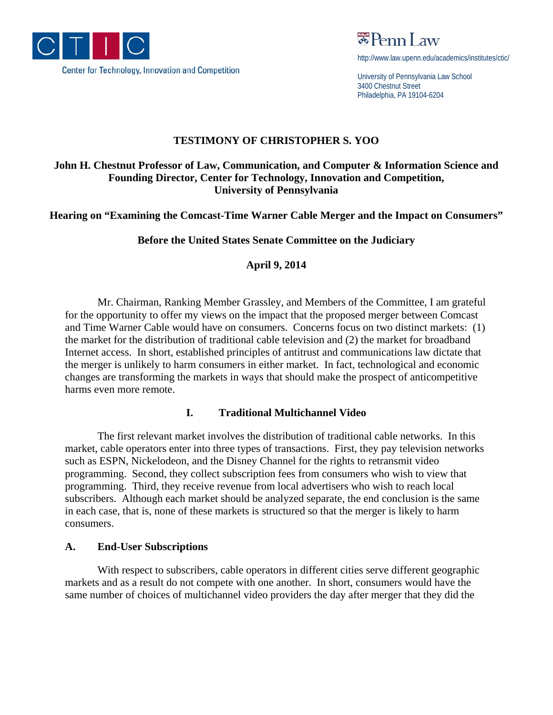

 $\mathbb{R}$ Penn Law

http://www.law.upenn.edu/academics/institutes/ctic/

University of Pennsylvania Law School 3400 Chestnut Street Philadelphia, PA 19104-6204

## **TESTIMONY OF CHRISTOPHER S. YOO**

# **John H. Chestnut Professor of Law, Communication, and Computer & Information Science and Founding Director, Center for Technology, Innovation and Competition, University of Pennsylvania**

**Hearing on "Examining the Comcast-Time Warner Cable Merger and the Impact on Consumers"** 

**Before the United States Senate Committee on the Judiciary** 

**April 9, 2014** 

 Mr. Chairman, Ranking Member Grassley, and Members of the Committee, I am grateful for the opportunity to offer my views on the impact that the proposed merger between Comcast and Time Warner Cable would have on consumers. Concerns focus on two distinct markets: (1) the market for the distribution of traditional cable television and (2) the market for broadband Internet access. In short, established principles of antitrust and communications law dictate that the merger is unlikely to harm consumers in either market. In fact, technological and economic changes are transforming the markets in ways that should make the prospect of anticompetitive harms even more remote.

## **I. Traditional Multichannel Video**

 The first relevant market involves the distribution of traditional cable networks. In this market, cable operators enter into three types of transactions. First, they pay television networks such as ESPN, Nickelodeon, and the Disney Channel for the rights to retransmit video programming. Second, they collect subscription fees from consumers who wish to view that programming. Third, they receive revenue from local advertisers who wish to reach local subscribers. Although each market should be analyzed separate, the end conclusion is the same in each case, that is, none of these markets is structured so that the merger is likely to harm consumers.

## **A. End-User Subscriptions**

 With respect to subscribers, cable operators in different cities serve different geographic markets and as a result do not compete with one another. In short, consumers would have the same number of choices of multichannel video providers the day after merger that they did the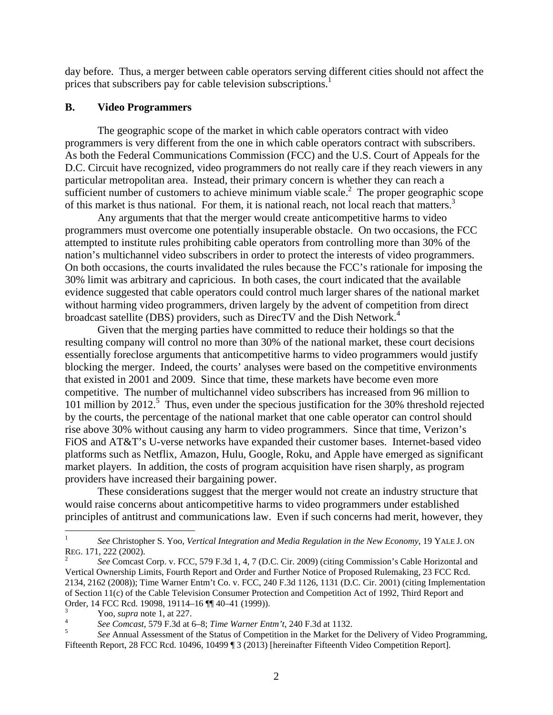day before. Thus, a merger between cable operators serving different cities should not affect the prices that subscribers pay for cable television subscriptions.<sup>1</sup>

#### **B. Video Programmers**

 The geographic scope of the market in which cable operators contract with video programmers is very different from the one in which cable operators contract with subscribers. As both the Federal Communications Commission (FCC) and the U.S. Court of Appeals for the D.C. Circuit have recognized, video programmers do not really care if they reach viewers in any particular metropolitan area. Instead, their primary concern is whether they can reach a sufficient number of customers to achieve minimum viable scale.<sup>2</sup> The proper geographic scope of this market is thus national. For them, it is national reach, not local reach that matters.<sup>3</sup>

 Any arguments that that the merger would create anticompetitive harms to video programmers must overcome one potentially insuperable obstacle. On two occasions, the FCC attempted to institute rules prohibiting cable operators from controlling more than 30% of the nation's multichannel video subscribers in order to protect the interests of video programmers. On both occasions, the courts invalidated the rules because the FCC's rationale for imposing the 30% limit was arbitrary and capricious. In both cases, the court indicated that the available evidence suggested that cable operators could control much larger shares of the national market without harming video programmers, driven largely by the advent of competition from direct broadcast satellite (DBS) providers, such as DirecTV and the Dish Network.<sup>4</sup>

 Given that the merging parties have committed to reduce their holdings so that the resulting company will control no more than 30% of the national market, these court decisions essentially foreclose arguments that anticompetitive harms to video programmers would justify blocking the merger. Indeed, the courts' analyses were based on the competitive environments that existed in 2001 and 2009. Since that time, these markets have become even more competitive. The number of multichannel video subscribers has increased from 96 million to 101 million by 2012.<sup>5</sup> Thus, even under the specious justification for the 30% threshold rejected by the courts, the percentage of the national market that one cable operator can control should rise above 30% without causing any harm to video programmers. Since that time, Verizon's FiOS and AT&T's U-verse networks have expanded their customer bases. Internet-based video platforms such as Netflix, Amazon, Hulu, Google, Roku, and Apple have emerged as significant market players. In addition, the costs of program acquisition have risen sharply, as program providers have increased their bargaining power.

 These considerations suggest that the merger would not create an industry structure that would raise concerns about anticompetitive harms to video programmers under established principles of antitrust and communications law. Even if such concerns had merit, however, they

1

<sup>1</sup> *See* Christopher S. Yoo, *Vertical Integration and Media Regulation in the New Economy*, 19 YALE J. ON REG. 171, 222 (2002).<br><sup>2</sup> *See* Comcast Corp. v. FCC, 579 F.3d 1, 4, 7 (D.C. Cir. 2009) (citing Commission's Cable Horizontal and

Vertical Ownership Limits, Fourth Report and Order and Further Notice of Proposed Rulemaking, 23 FCC Rcd. 2134, 2162 (2008)); Time Warner Entm't Co. v. FCC, 240 F.3d 1126, 1131 (D.C. Cir. 2001) (citing Implementation of Section 11(c) of the Cable Television Consumer Protection and Competition Act of 1992, Third Report and Order, 14 FCC Rcd. 19098, 19114–16 ¶¶ 40–41 (1999)).

<sup>3</sup>

<sup>&</sup>lt;sup>3</sup><br>
<sup>3</sup><br>
See Comcast, 579 F.3d at 6–8; *Time Warner Entm't*, 240 F.3d at 1132.<br>
<sup>5</sup> See Annual Assessment of the Status of Competition in the Market for the Delivery of Video Programming, Fifteenth Report, 28 FCC Rcd. 10496, 10499 ¶ 3 (2013) [hereinafter Fifteenth Video Competition Report].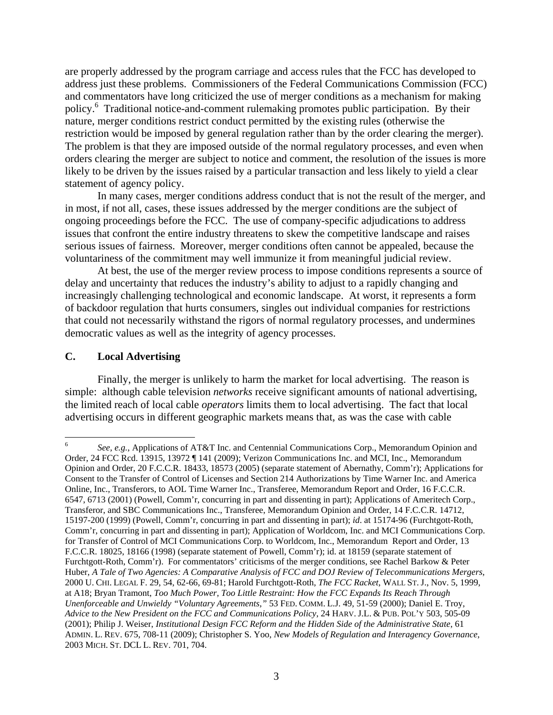are properly addressed by the program carriage and access rules that the FCC has developed to address just these problems. Commissioners of the Federal Communications Commission (FCC) and commentators have long criticized the use of merger conditions as a mechanism for making policy.6 Traditional notice-and-comment rulemaking promotes public participation. By their nature, merger conditions restrict conduct permitted by the existing rules (otherwise the restriction would be imposed by general regulation rather than by the order clearing the merger). The problem is that they are imposed outside of the normal regulatory processes, and even when orders clearing the merger are subject to notice and comment, the resolution of the issues is more likely to be driven by the issues raised by a particular transaction and less likely to yield a clear statement of agency policy.

 In many cases, merger conditions address conduct that is not the result of the merger, and in most, if not all, cases, these issues addressed by the merger conditions are the subject of ongoing proceedings before the FCC. The use of company-specific adjudications to address issues that confront the entire industry threatens to skew the competitive landscape and raises serious issues of fairness. Moreover, merger conditions often cannot be appealed, because the voluntariness of the commitment may well immunize it from meaningful judicial review.

 At best, the use of the merger review process to impose conditions represents a source of delay and uncertainty that reduces the industry's ability to adjust to a rapidly changing and increasingly challenging technological and economic landscape. At worst, it represents a form of backdoor regulation that hurts consumers, singles out individual companies for restrictions that could not necessarily withstand the rigors of normal regulatory processes, and undermines democratic values as well as the integrity of agency processes.

### **C. Local Advertising**

 Finally, the merger is unlikely to harm the market for local advertising. The reason is simple: although cable television *networks* receive significant amounts of national advertising, the limited reach of local cable *operators* limits them to local advertising. The fact that local advertising occurs in different geographic markets means that, as was the case with cable

<sup>6</sup> <sup>6</sup> *See, e.g.*, Applications of AT&T Inc. and Centennial Communications Corp., Memorandum Opinion and Order, 24 FCC Rcd. 13915, 13972 ¶ 141 (2009); Verizon Communications Inc. and MCI, Inc., Memorandum Opinion and Order, 20 F.C.C.R. 18433, 18573 (2005) (separate statement of Abernathy, Comm'r); Applications for Consent to the Transfer of Control of Licenses and Section 214 Authorizations by Time Warner Inc. and America Online, Inc., Transferors, to AOL Time Warner Inc., Transferee, Memorandum Report and Order, 16 F.C.C.R. 6547, 6713 (2001) (Powell, Comm'r, concurring in part and dissenting in part); Applications of Ameritech Corp., Transferor, and SBC Communications Inc., Transferee, Memorandum Opinion and Order, 14 F.C.C.R. 14712, 15197-200 (1999) (Powell, Comm'r, concurring in part and dissenting in part); *id*. at 15174-96 (Furchtgott-Roth, Comm'r, concurring in part and dissenting in part); Application of Worldcom, Inc. and MCI Communications Corp. for Transfer of Control of MCI Communications Corp. to Worldcom, Inc., Memorandum Report and Order, 13 F.C.C.R. 18025, 18166 (1998) (separate statement of Powell, Comm'r); id. at 18159 (separate statement of Furchtgott-Roth, Comm'r). For commentators' criticisms of the merger conditions, see Rachel Barkow & Peter Huber, *A Tale of Two Agencies: A Comparative Analysis of FCC and DOJ Review of Telecommunications Mergers*, 2000 U. CHI. LEGAL F. 29, 54, 62-66, 69-81; Harold Furchtgott-Roth, *The FCC Racket*, WALL ST. J., Nov. 5, 1999, at A18; Bryan Tramont, *Too Much Power, Too Little Restraint: How the FCC Expands Its Reach Through Unenforceable and Unwieldy "Voluntary Agreements,"* 53 FED. COMM. L.J. 49, 51-59 (2000); Daniel E. Troy, *Advice to the New President on the FCC and Communications Policy*, 24 HARV. J.L. & PUB. POL'Y 503, 505-09 (2001); Philip J. Weiser, *Institutional Design FCC Reform and the Hidden Side of the Administrative State*, 61 ADMIN. L. REV. 675, 708-11 (2009); Christopher S. Yoo, *New Models of Regulation and Interagency Governance*, 2003 MICH. ST. DCL L. REV. 701, 704.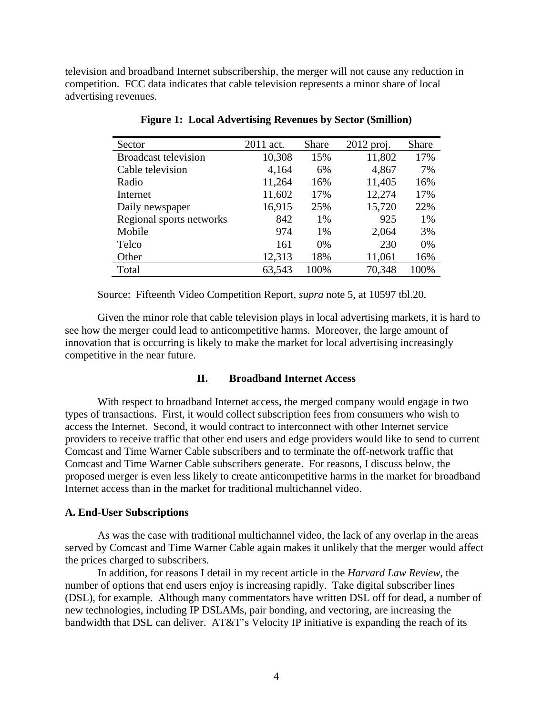television and broadband Internet subscribership, the merger will not cause any reduction in competition. FCC data indicates that cable television represents a minor share of local advertising revenues.

| Sector                      | 2011 act. | Share | $2012$ proj. | Share |
|-----------------------------|-----------|-------|--------------|-------|
| <b>Broadcast television</b> | 10,308    | 15%   | 11,802       | 17%   |
| Cable television            | 4,164     | 6%    | 4,867        | 7%    |
| Radio                       | 11,264    | 16%   | 11,405       | 16%   |
| Internet                    | 11,602    | 17%   | 12,274       | 17%   |
| Daily newspaper             | 16,915    | 25%   | 15,720       | 22%   |
| Regional sports networks    | 842       | 1%    | 925          | 1%    |
| Mobile                      | 974       | $1\%$ | 2,064        | 3%    |
| Telco                       | 161       | 0%    | 230          | 0%    |
| Other                       | 12,313    | 18%   | 11,061       | 16%   |
| Total                       | 63,543    | 100%  | 70,348       | 100%  |

**Figure 1: Local Advertising Revenues by Sector (\$million)** 

Source: Fifteenth Video Competition Report, *supra* note 5, at 10597 tbl.20.

 Given the minor role that cable television plays in local advertising markets, it is hard to see how the merger could lead to anticompetitive harms. Moreover, the large amount of innovation that is occurring is likely to make the market for local advertising increasingly competitive in the near future.

### **II. Broadband Internet Access**

 With respect to broadband Internet access, the merged company would engage in two types of transactions. First, it would collect subscription fees from consumers who wish to access the Internet. Second, it would contract to interconnect with other Internet service providers to receive traffic that other end users and edge providers would like to send to current Comcast and Time Warner Cable subscribers and to terminate the off-network traffic that Comcast and Time Warner Cable subscribers generate. For reasons, I discuss below, the proposed merger is even less likely to create anticompetitive harms in the market for broadband Internet access than in the market for traditional multichannel video.

#### **A. End-User Subscriptions**

 As was the case with traditional multichannel video, the lack of any overlap in the areas served by Comcast and Time Warner Cable again makes it unlikely that the merger would affect the prices charged to subscribers.

 In addition, for reasons I detail in my recent article in the *Harvard Law Review*, the number of options that end users enjoy is increasing rapidly. Take digital subscriber lines (DSL), for example. Although many commentators have written DSL off for dead, a number of new technologies, including IP DSLAMs, pair bonding, and vectoring, are increasing the bandwidth that DSL can deliver. AT&T's Velocity IP initiative is expanding the reach of its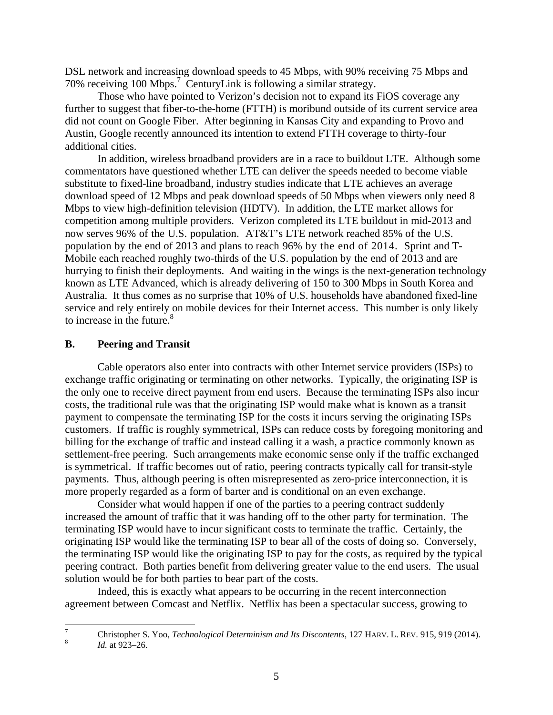DSL network and increasing download speeds to 45 Mbps, with 90% receiving 75 Mbps and 70% receiving 100 Mbps.<sup>7</sup> CenturyLink is following a similar strategy.

 Those who have pointed to Verizon's decision not to expand its FiOS coverage any further to suggest that fiber-to-the-home (FTTH) is moribund outside of its current service area did not count on Google Fiber. After beginning in Kansas City and expanding to Provo and Austin, Google recently announced its intention to extend FTTH coverage to thirty-four additional cities.

 In addition, wireless broadband providers are in a race to buildout LTE. Although some commentators have questioned whether LTE can deliver the speeds needed to become viable substitute to fixed-line broadband, industry studies indicate that LTE achieves an average download speed of 12 Mbps and peak download speeds of 50 Mbps when viewers only need 8 Mbps to view high-definition television (HDTV). In addition, the LTE market allows for competition among multiple providers. Verizon completed its LTE buildout in mid-2013 and now serves 96% of the U.S. population. AT&T's LTE network reached 85% of the U.S. population by the end of 2013 and plans to reach 96% by the end of 2014. Sprint and T-Mobile each reached roughly two-thirds of the U.S. population by the end of 2013 and are hurrying to finish their deployments. And waiting in the wings is the next-generation technology known as LTE Advanced, which is already delivering of 150 to 300 Mbps in South Korea and Australia. It thus comes as no surprise that 10% of U.S. households have abandoned fixed-line service and rely entirely on mobile devices for their Internet access. This number is only likely to increase in the future.<sup>8</sup>

### **B. Peering and Transit**

 Cable operators also enter into contracts with other Internet service providers (ISPs) to exchange traffic originating or terminating on other networks. Typically, the originating ISP is the only one to receive direct payment from end users. Because the terminating ISPs also incur costs, the traditional rule was that the originating ISP would make what is known as a transit payment to compensate the terminating ISP for the costs it incurs serving the originating ISPs customers. If traffic is roughly symmetrical, ISPs can reduce costs by foregoing monitoring and billing for the exchange of traffic and instead calling it a wash, a practice commonly known as settlement-free peering. Such arrangements make economic sense only if the traffic exchanged is symmetrical. If traffic becomes out of ratio, peering contracts typically call for transit-style payments. Thus, although peering is often misrepresented as zero-price interconnection, it is more properly regarded as a form of barter and is conditional on an even exchange.

 Consider what would happen if one of the parties to a peering contract suddenly increased the amount of traffic that it was handing off to the other party for termination. The terminating ISP would have to incur significant costs to terminate the traffic. Certainly, the originating ISP would like the terminating ISP to bear all of the costs of doing so. Conversely, the terminating ISP would like the originating ISP to pay for the costs, as required by the typical peering contract. Both parties benefit from delivering greater value to the end users. The usual solution would be for both parties to bear part of the costs.

 Indeed, this is exactly what appears to be occurring in the recent interconnection agreement between Comcast and Netflix. Netflix has been a spectacular success, growing to

 $\frac{1}{7}$ Christopher S. Yoo, *Technological Determinism and Its Discontents*, 127 HARV. L. REV. 915, 919 (2014). 8 *Id.* at 923–26.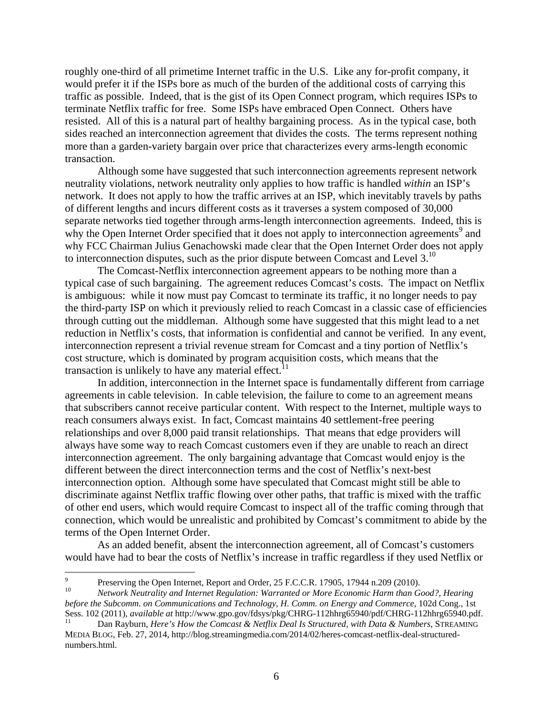roughly one-third of all primetime Internet traffic in the U.S. Like any for-profit company, it would prefer it if the ISPs bore as much of the burden of the additional costs of carrying this traffic as possible. Indeed, that is the gist of its Open Connect program, which requires ISPs to terminate Netflix traffic for free. Some ISPs have embraced Open Connect. Others have resisted. All of this is a natural part of healthy bargaining process. As in the typical case, both sides reached an interconnection agreement that divides the costs. The terms represent nothing more than a garden-variety bargain over price that characterizes every arms-length economic transaction.

 Although some have suggested that such interconnection agreements represent network neutrality violations, network neutrality only applies to how traffic is handled *within* an ISP's network. It does not apply to how the traffic arrives at an ISP, which inevitably travels by paths of different lengths and incurs different costs as it traverses a system composed of 30,000 separate networks tied together through arms-length interconnection agreements. Indeed, this is why the Open Internet Order specified that it does not apply to interconnection agreements<sup>9</sup> and why FCC Chairman Julius Genachowski made clear that the Open Internet Order does not apply to interconnection disputes, such as the prior dispute between Comcast and Level  $3<sup>10</sup>$ 

 The Comcast-Netflix interconnection agreement appears to be nothing more than a typical case of such bargaining. The agreement reduces Comcast's costs. The impact on Netflix is ambiguous: while it now must pay Comcast to terminate its traffic, it no longer needs to pay the third-party ISP on which it previously relied to reach Comcast in a classic case of efficiencies through cutting out the middleman. Although some have suggested that this might lead to a net reduction in Netflix's costs, that information is confidential and cannot be verified. In any event, interconnection represent a trivial revenue stream for Comcast and a tiny portion of Netflix's cost structure, which is dominated by program acquisition costs, which means that the transaction is unlikely to have any material effect.<sup>11</sup>

 In addition, interconnection in the Internet space is fundamentally different from carriage agreements in cable television. In cable television, the failure to come to an agreement means that subscribers cannot receive particular content. With respect to the Internet, multiple ways to reach consumers always exist. In fact, Comcast maintains 40 settlement-free peering relationships and over 8,000 paid transit relationships. That means that edge providers will always have some way to reach Comcast customers even if they are unable to reach an direct interconnection agreement. The only bargaining advantage that Comcast would enjoy is the different between the direct interconnection terms and the cost of Netflix's next-best interconnection option. Although some have speculated that Comcast might still be able to discriminate against Netflix traffic flowing over other paths, that traffic is mixed with the traffic of other end users, which would require Comcast to inspect all of the traffic coming through that connection, which would be unrealistic and prohibited by Comcast's commitment to abide by the terms of the Open Internet Order.

 As an added benefit, absent the interconnection agreement, all of Comcast's customers would have had to bear the costs of Netflix's increase in traffic regardless if they used Netflix or

<sup>-&</sup>lt;br>9 Preserving the Open Internet, Report and Order, 25 F.C.C.R. 17905, 17944 n.209 (2010).<br><sup>10</sup> *Network Neutrality and Internet Regulation: Warranted or More Economic Harm than Good?, Hearing* 

*before the Subcomm. on Communications and Technology, H. Comm. on Energy and Commerce*, 102d Cong., 1st Sess. 102 (2011), *available at* http://www.gpo.gov/fdsys/pkg/CHRG-112hhrg65940/pdf/CHRG-112hhrg65940.pdf. 11 Dan Rayburn, *Here's How the Comcast & Netflix Deal Is Structured, with Data & Numbers*, STREAMING

MEDIA BLOG, Feb. 27, 2014, http://blog.streamingmedia.com/2014/02/heres-comcast-netflix-deal-structurednumbers.html.